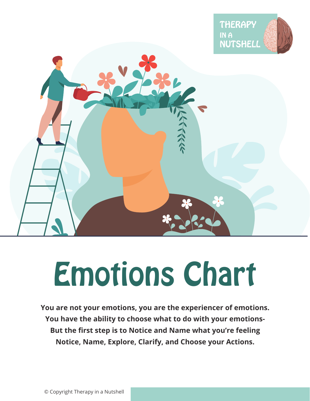



# Emotions Chart

**You are not your emotions, you are the experiencer of emotions. You have the ability to choose what to do with your emotions-But the first step is to Notice and Name what you're feeling Notice, Name, Explore, Clarify, and Choose your Actions.**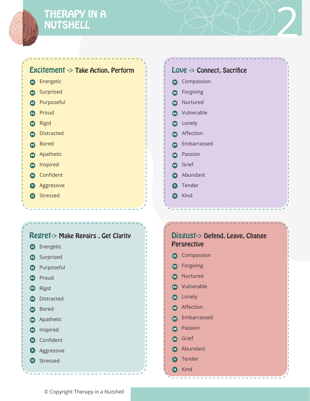# THERAPY IN A THERAPY IN A<br>NUTSHELL 2007

### Excitement -> Take Action, Perform

- **o** Energetic
- **2** Surprised
- **B** Purposeful
- Proud 04
- os Rigid
- **6** Distracted
- **o** Bored
- **a** Apathetic
- **o** Inspired
- **10** Confident
- **n** Aggressive
- Stressed 12

#### **o** Compassion 05 Lonely 03 Nurtured **C2 66** Affection 04 Vulnerable Love -> Connect, Sacrifice Forgiving

- **o** Embarrassed
- 08 Passion
- 09 Grief
- 10 Abundant
- **in**) Tender
- 12 Kind



- 06 Distracted
- 07 Bored
- **08** Apathetic
- 09 Inspired
- 10 Confident
- **11** Aggressive
- 12 Stressed

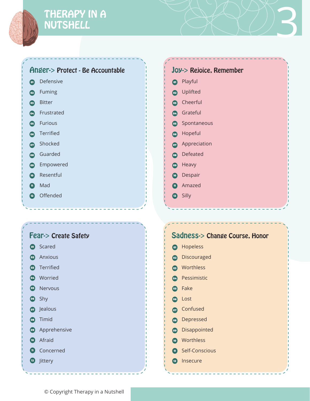

#### Anger-> Protect - Be Accountable

- **o** Defensive
- Fuming  $\odot$
- Bitter  $\bullet$
- **24** Frustrated
- **65** Furious
- **66** Terrified
- **o** Shocked
- **68** Guarded
- Empowered 09
- **10** Resentful
- n) Mad
- Offended 12

## o Playful 05 Spontaneous 03 Cheerful **on** Appreciation **2** Uplifted 06 Hopeful 04 Grateful 08 Defeated 09 Heavy Joy-> Rejoice, Remember

- **10** Despair
- 11 Amazed
- 12 Silly

#### Fear-> Create Safety

- 01 Scared
- 02 Anxious
- 03 Terrified
- 04 Worried
- 05 Nervous
- 06 Shy
- 07 Jealous
- 08 Timid
- **<sup>09</sup>** Apprehensive
- 10 Afraid
- 11 Concerned
- <sup>12</sup> Jittery

| <b>Sadness-&gt; Change Course, Honor</b> |                      |
|------------------------------------------|----------------------|
| $\overline{a}$                           | Hopeless             |
|                                          | <b>2</b> Discouraged |
|                                          | <b>83</b> Worthless  |
| (04)                                     | Pessimistic          |
| $\overline{05}$                          | Fake                 |
| (06)                                     | Lost                 |
| $\overline{\textbf{O7}}$                 | Confused             |
| $\left( 08\right)$                       | Depressed            |
| (09)                                     | Disappointed         |
|                                          | <b>to</b> Worthless  |
| $\blacksquare$                           | Self-Conscious       |
| 12                                       | Insecure             |